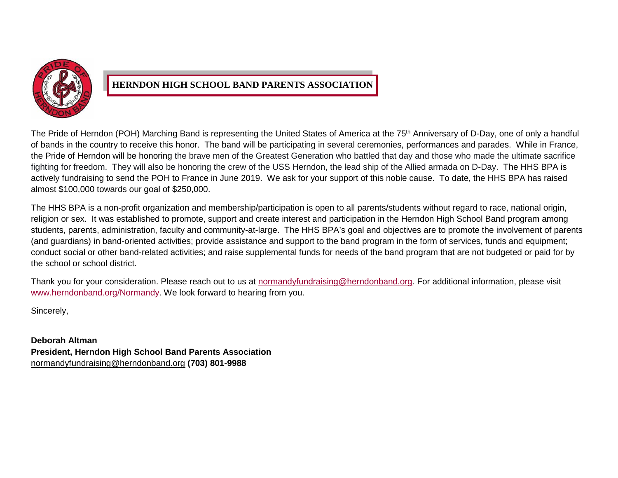

## **HERNDON HIGH SCHOOL BAND PARENTS ASSOCIATION**

The Pride of Herndon (POH) Marching Band is representing the United States of America at the 75<sup>th</sup> Anniversary of D-Day, one of only a handful of bands in the country to receive this honor. The band will be participating in several ceremonies, performances and parades. While in France, the Pride of Herndon will be honoring the brave men of the Greatest Generation who battled that day and those who made the ultimate sacrifice fighting for freedom. They will also be honoring the crew of the USS Herndon, the lead ship of the Allied armada on D-Day. The HHS BPA is actively fundraising to send the POH to France in June 2019. We ask for your support of this noble cause. To date, the HHS BPA has raised almost \$100,000 towards our goal of \$250,000.

The HHS BPA is a non-profit organization and membership/participation is open to all parents/students without regard to race, national origin, religion or sex. It was established to promote, support and create interest and participation in the Herndon High School Band program among students, parents, administration, faculty and community-at-large. The HHS BPA's goal and objectives are to promote the involvement of parents (and guardians) in band-oriented activities; provide assistance and support to the band program in the form of services, funds and equipment; conduct social or other band-related activities; and raise supplemental funds for needs of the band program that are not budgeted or paid for by the school or school district.

Thank you for your consideration. Please reach out to us at [normandyfundraising@herndonband.org.](mailto:normandyfundraising@herndonband.org) For additional information, please visit [www.herndonband.org/Normandy.](http://www.herndonband.org/normandy) We look forward to hearing from you.

Sincerely,

**Deborah Altman President, Herndon High School Band Parents Association** [normandyfundraising@herndonband.org](mailto:normandyfundraising@herndonband.org) **(703) 801-9988**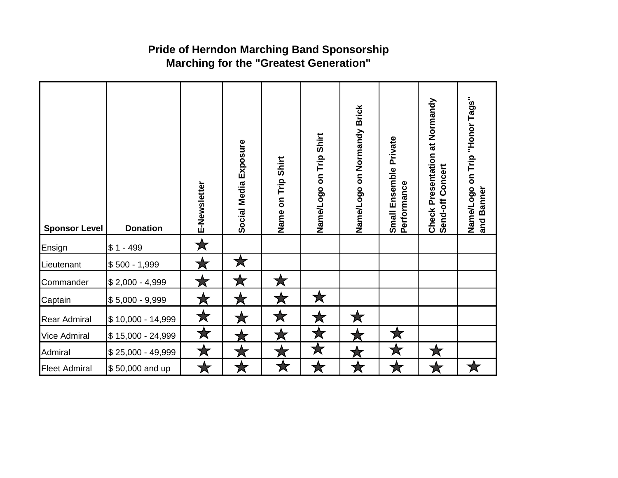## **Pride of Herndon Marching Band Sponsorship Marching for the "Greatest Generation"**

| <b>Sponsor Level</b> | <b>Donation</b>   | E-Newsletter | Social Media Exposure | Name on Trip Shirt | Name/Logo on Trip Shirt | Name/Logo on Normandy Brick | Private<br>Small Ensemble<br>Performance | Check Presentation at Normandy<br>Concert<br>Send-off | Name/Logo on Trip "Honor Tags"<br>and Banner |
|----------------------|-------------------|--------------|-----------------------|--------------------|-------------------------|-----------------------------|------------------------------------------|-------------------------------------------------------|----------------------------------------------|
| Ensign               | $$1 - 499$        | $\bigstar$   |                       |                    |                         |                             |                                          |                                                       |                                              |
| Lieutenant           | $$500 - 1,999$    | 大            | $\bigstar$            |                    |                         |                             |                                          |                                                       |                                              |
| Commander            | $$2,000 - 4,999$  | ★            | 大                     | Х                  |                         |                             |                                          |                                                       |                                              |
| Captain              | $$5,000 - 9,999$  | ★            | Х                     | ★                  | ★                       |                             |                                          |                                                       |                                              |
| Rear Admiral         | \$10,000 - 14,999 | $\bigstar$   |                       | ★                  | ★                       | ★                           |                                          |                                                       |                                              |
| Vice Admiral         | \$15,000 - 24,999 | $\bigstar$   |                       | ★                  | $\bigstar$              |                             | 大                                        |                                                       |                                              |
| Admiral              | \$25,000 - 49,999 | ★            |                       | 本                  | ★                       |                             | $\bigstar$                               |                                                       |                                              |
| <b>Fleet Admiral</b> | \$50,000 and up   | Х            |                       | ★                  |                         |                             |                                          |                                                       |                                              |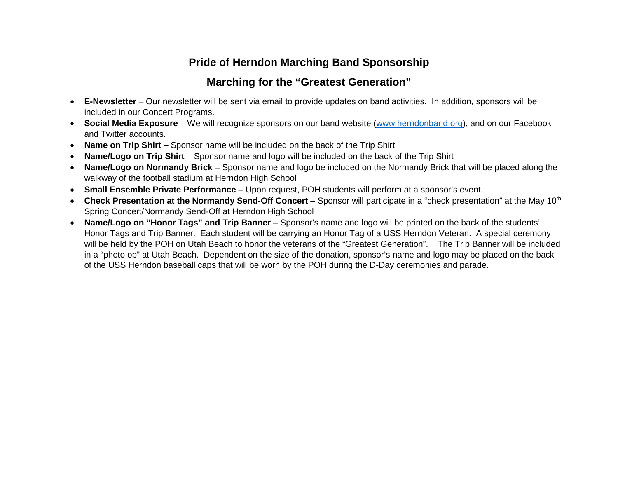## **Pride of Herndon Marching Band Sponsorship**

## **Marching for the "Greatest Generation"**

- **E-Newsletter** Our newsletter will be sent via email to provide updates on band activities. In addition, sponsors will be included in our Concert Programs.
- **Social Media Exposure** We will recognize sponsors on our band website [\(www.herndonband.org\)](http://www.herndonband.org/), and on our Facebook and Twitter accounts.
- **Name on Trip Shirt** Sponsor name will be included on the back of the Trip Shirt
- **Name/Logo on Trip Shirt** Sponsor name and logo will be included on the back of the Trip Shirt
- **Name/Logo on Normandy Brick** Sponsor name and logo be included on the Normandy Brick that will be placed along the walkway of the football stadium at Herndon High School
- **Small Ensemble Private Performance** Upon request, POH students will perform at a sponsor's event.
- Check Presentation at the Normandy Send-Off Concert Sponsor will participate in a "check presentation" at the May 10<sup>th</sup> Spring Concert/Normandy Send-Off at Herndon High School
- **Name/Logo on "Honor Tags" and Trip Banner** Sponsor's name and logo will be printed on the back of the students' Honor Tags and Trip Banner. Each student will be carrying an Honor Tag of a USS Herndon Veteran. A special ceremony will be held by the POH on Utah Beach to honor the veterans of the "Greatest Generation". The Trip Banner will be included in a "photo op" at Utah Beach. Dependent on the size of the donation, sponsor's name and logo may be placed on the back of the USS Herndon baseball caps that will be worn by the POH during the D-Day ceremonies and parade.